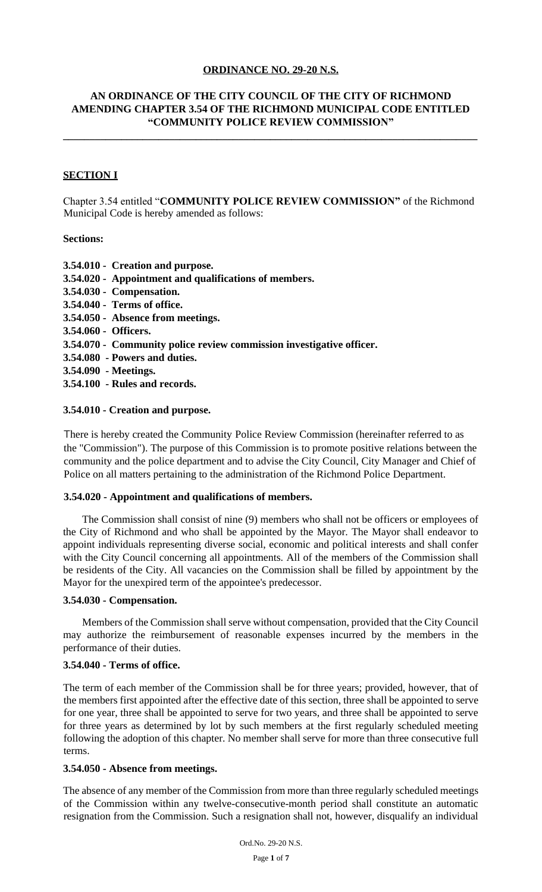Chapter 3.54 entitled "**COMMUNITY POLICE REVIEW COMMISSION"** of the Richmond Municipal Code is hereby amended as follows:

**Sections:**

- **3.54.010 Creation and purpose.**
- **3.54.020 Appointment and qualifications of members.**
- **3.54.030 Compensation.**
- **3.54.040 Terms of office.**
- **3.54.050 Absence from meetings.**
- **3.54.060 Officers.**
- **3.54.070 Community police review commission investigative officer.**
- **3.54.080 Powers and duties.**
- **3.54.090 Meetings.**
- **3.54.100 Rules and records.**

## **3.54.010 - Creation and purpose.**

There is hereby created the Community Police Review Commission (hereinafter referred to as the "Commission"). The purpose of this Commission is to promote positive relations between the community and the police department and to advise the City Council, City Manager and Chief of Police on all matters pertaining to the administration of the Richmond Police Department.

## **3.54.020 - Appointment and qualifications of members.**

The Commission shall consist of nine (9) members who shall not be officers or employees of the City of Richmond and who shall be appointed by the Mayor. The Mayor shall endeavor to appoint individuals representing diverse social, economic and political interests and shall confer with the City Council concerning all appointments. All of the members of the Commission shall be residents of the City. All vacancies on the Commission shall be filled by appointment by the Mayor for the unexpired term of the appointee's predecessor.

## **3.54.030 - Compensation.**

Members of the Commission shall serve without compensation, provided that the City Council may authorize the reimbursement of reasonable expenses incurred by the members in the performance of their duties.

## **3.54.040 - Terms of office.**

The term of each member of the Commission shall be for three years; provided, however, that of the members first appointed after the effective date of this section, three shall be appointed to serve for one year, three shall be appointed to serve for two years, and three shall be appointed to serve for three years as determined by lot by such members at the first regularly scheduled meeting following the adoption of this chapter. No member shall serve for more than three consecutive full terms.

## **3.54.050 - Absence from meetings.**

The absence of any member of the Commission from more than three regularly scheduled meetings of the Commission within any twelve-consecutive-month period shall constitute an automatic resignation from the Commission. Such a resignation shall not, however, disqualify an individual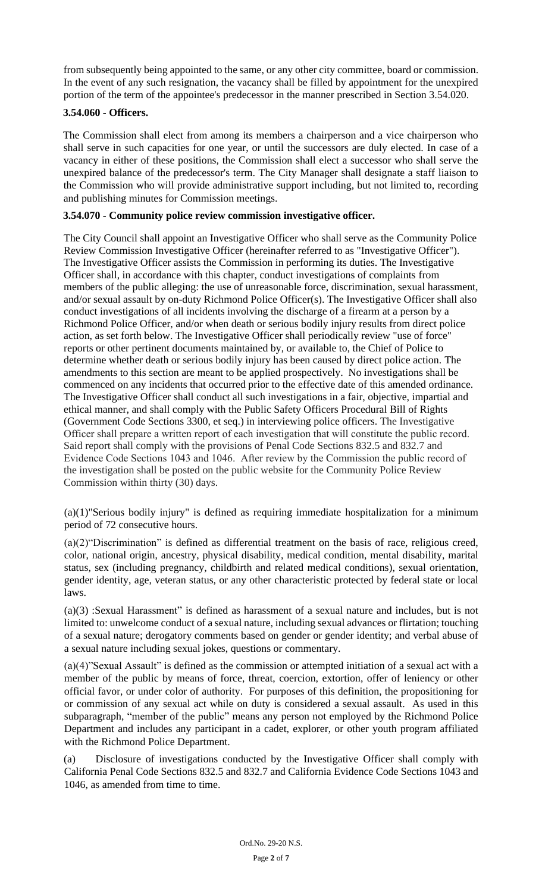the Commission who will provide administrative support including, but not limited to, recording and publishing minutes for Commission meetings.

## **3.54.070 - Community police review commission investigative officer.**

The City Council shall appoint an Investigative Officer who shall serve as the Community Police Review Commission Investigative Officer (hereinafter referred to as "Investigative Officer"). The Investigative Officer assists the Commission in performing its duties. The Investigative Officer shall, in accordance with this chapter, conduct investigations of complaints from members of the public alleging: the use of unreasonable force, discrimination, sexual harassment, and/or sexual assault by on-duty Richmond Police Officer(s). The Investigative Officer shall also conduct investigations of all incidents involving the discharge of a firearm at a person by a Richmond Police Officer, and/or when death or serious bodily injury results from direct police action, as set forth below. The Investigative Officer shall periodically review "use of force" reports or other pertinent documents maintained by, or available to, the Chief of Police to determine whether death or serious bodily injury has been caused by direct police action. The amendments to this section are meant to be applied prospectively. No investigations shall be commenced on any incidents that occurred prior to the effective date of this amended ordinance. The Investigative Officer shall conduct all such investigations in a fair, objective, impartial and ethical manner, and shall comply with the Public Safety Officers Procedural Bill of Rights (Government Code Sections 3300, et seq.) in interviewing police officers. The Investigative Officer shall prepare a written report of each investigation that will constitute the public record. Said report shall comply with the provisions of Penal Code Sections 832.5 and 832.7 and Evidence Code Sections 1043 and 1046. After review by the Commission the public record of the investigation shall be posted on the public website for the Community Police Review Commission within thirty (30) days.

(a)(1)"Serious bodily injury" is defined as requiring immediate hospitalization for a minimum period of 72 consecutive hours.

(a)(2)"Discrimination" is defined as differential treatment on the basis of race, religious creed, color, national origin, ancestry, physical disability, medical condition, mental disability, marital status, sex (including pregnancy, childbirth and related medical conditions), sexual orientation, gender identity, age, veteran status, or any other characteristic protected by federal state or local laws.

(a)(3) :Sexual Harassment" is defined as harassment of a sexual nature and includes, but is not limited to: unwelcome conduct of a sexual nature, including sexual advances or flirtation; touching of a sexual nature; derogatory comments based on gender or gender identity; and verbal abuse of a sexual nature including sexual jokes, questions or commentary.

(a)(4)"Sexual Assault" is defined as the commission or attempted initiation of a sexual act with a member of the public by means of force, threat, coercion, extortion, offer of leniency or other official favor, or under color of authority. For purposes of this definition, the propositioning for or commission of any sexual act while on duty is considered a sexual assault. As used in this subparagraph, "member of the public" means any person not employed by the Richmond Police Department and includes any participant in a cadet, explorer, or other youth program affiliated with the Richmond Police Department.

(a) Disclosure of investigations conducted by the Investigative Officer shall comply with California Penal Code Sections 832.5 and 832.7 and California Evidence Code Sections 1043 and 1046, as amended from time to time.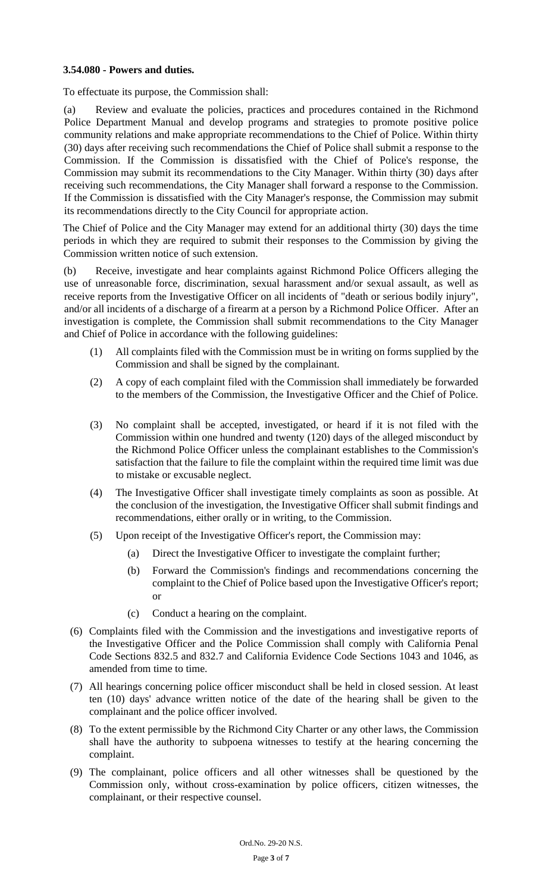If the Commission is dissatisfied with the City Manager's response, the Commission may submit its recommendations directly to the City Council for appropriate action.

The Chief of Police and the City Manager may extend for an additional thirty (30) days the time periods in which they are required to submit their responses to the Commission by giving the Commission written notice of such extension.

(b) Receive, investigate and hear complaints against Richmond Police Officers alleging the use of unreasonable force, discrimination, sexual harassment and/or sexual assault, as well as receive reports from the Investigative Officer on all incidents of "death or serious bodily injury", and/or all incidents of a discharge of a firearm at a person by a Richmond Police Officer. After an investigation is complete, the Commission shall submit recommendations to the City Manager and Chief of Police in accordance with the following guidelines:

- (1) All complaints filed with the Commission must be in writing on forms supplied by the Commission and shall be signed by the complainant.
- (2) A copy of each complaint filed with the Commission shall immediately be forwarded to the members of the Commission, the Investigative Officer and the Chief of Police.
- (3) No complaint shall be accepted, investigated, or heard if it is not filed with the Commission within one hundred and twenty (120) days of the alleged misconduct by the Richmond Police Officer unless the complainant establishes to the Commission's satisfaction that the failure to file the complaint within the required time limit was due to mistake or excusable neglect.
- (4) The Investigative Officer shall investigate timely complaints as soon as possible. At the conclusion of the investigation, the Investigative Officer shall submit findings and recommendations, either orally or in writing, to the Commission.
- (5) Upon receipt of the Investigative Officer's report, the Commission may:
	- (a) Direct the Investigative Officer to investigate the complaint further;
	- (b) Forward the Commission's findings and recommendations concerning the complaint to the Chief of Police based upon the Investigative Officer's report; or
	- (c) Conduct a hearing on the complaint.
- (6) Complaints filed with the Commission and the investigations and investigative reports of the Investigative Officer and the Police Commission shall comply with California Penal Code Sections 832.5 and 832.7 and California Evidence Code Sections 1043 and 1046, as amended from time to time.
- (7) All hearings concerning police officer misconduct shall be held in closed session. At least ten (10) days' advance written notice of the date of the hearing shall be given to the complainant and the police officer involved.
- (8) To the extent permissible by the Richmond City Charter or any other laws, the Commission shall have the authority to subpoena witnesses to testify at the hearing concerning the complaint.
- (9) The complainant, police officers and all other witnesses shall be questioned by the Commission only, without cross-examination by police officers, citizen witnesses, the complainant, or their respective counsel.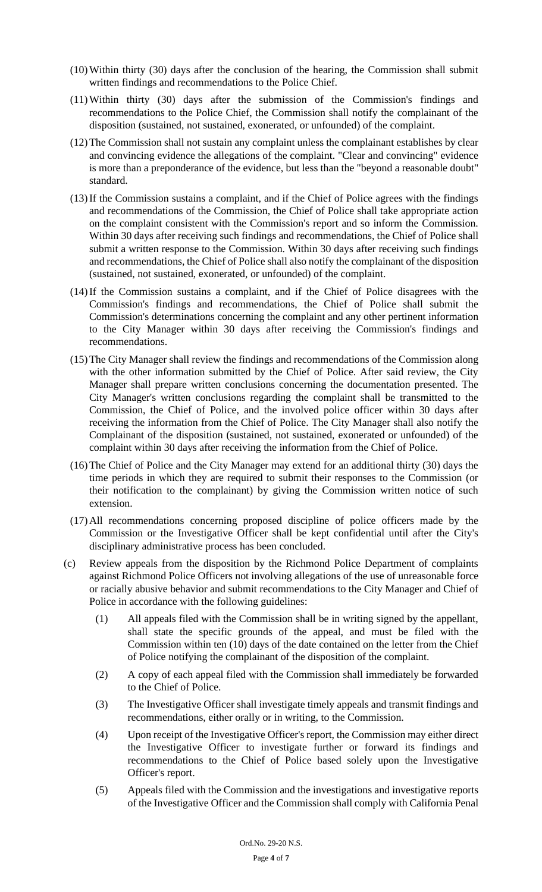- (13) If the Commission sustains a complaint, and if the Chief of Police agrees with the findings and recommendations of the Commission, the Chief of Police shall take appropriate action on the complaint consistent with the Commission's report and so inform the Commission. Within 30 days after receiving such findings and recommendations, the Chief of Police shall submit a written response to the Commission. Within 30 days after receiving such findings and recommendations, the Chief of Police shall also notify the complainant of the disposition (sustained, not sustained, exonerated, or unfounded) of the complaint.
- (14) If the Commission sustains a complaint, and if the Chief of Police disagrees with the Commission's findings and recommendations, the Chief of Police shall submit the Commission's determinations concerning the complaint and any other pertinent information to the City Manager within 30 days after receiving the Commission's findings and recommendations.
- (15) The City Manager shall review the findings and recommendations of the Commission along with the other information submitted by the Chief of Police. After said review, the City Manager shall prepare written conclusions concerning the documentation presented. The City Manager's written conclusions regarding the complaint shall be transmitted to the Commission, the Chief of Police, and the involved police officer within 30 days after receiving the information from the Chief of Police. The City Manager shall also notify the Complainant of the disposition (sustained, not sustained, exonerated or unfounded) of the complaint within 30 days after receiving the information from the Chief of Police.
- (16) The Chief of Police and the City Manager may extend for an additional thirty (30) days the time periods in which they are required to submit their responses to the Commission (or their notification to the complainant) by giving the Commission written notice of such extension.
- (17) All recommendations concerning proposed discipline of police officers made by the Commission or the Investigative Officer shall be kept confidential until after the City's disciplinary administrative process has been concluded.
- (c) Review appeals from the disposition by the Richmond Police Department of complaints against Richmond Police Officers not involving allegations of the use of unreasonable force or racially abusive behavior and submit recommendations to the City Manager and Chief of Police in accordance with the following guidelines:
	- (1) All appeals filed with the Commission shall be in writing signed by the appellant, shall state the specific grounds of the appeal, and must be filed with the Commission within ten (10) days of the date contained on the letter from the Chief of Police notifying the complainant of the disposition of the complaint.
	- (2) A copy of each appeal filed with the Commission shall immediately be forwarded to the Chief of Police.
	- (3) The Investigative Officer shall investigate timely appeals and transmit findings and recommendations, either orally or in writing, to the Commission.
	- (4) Upon receipt of the Investigative Officer's report, the Commission may either direct the Investigative Officer to investigate further or forward its findings and recommendations to the Chief of Police based solely upon the Investigative Officer's report.
	- (5) Appeals filed with the Commission and the investigations and investigative reports of the Investigative Officer and the Commission shall comply with California Penal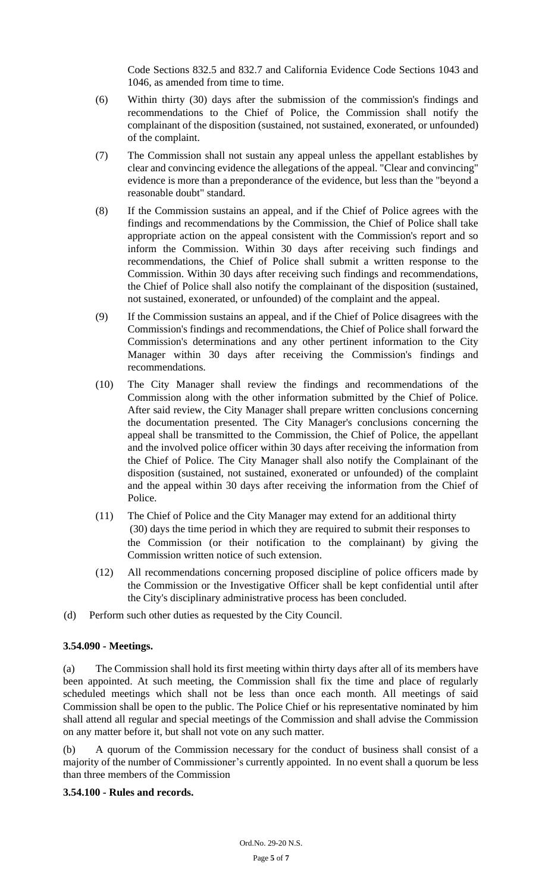reasonable doubt" standard.

- (8) If the Commission sustains an appeal, and if the Chief of Police agrees with the findings and recommendations by the Commission, the Chief of Police shall take appropriate action on the appeal consistent with the Commission's report and so inform the Commission. Within 30 days after receiving such findings and recommendations, the Chief of Police shall submit a written response to the Commission. Within 30 days after receiving such findings and recommendations, the Chief of Police shall also notify the complainant of the disposition (sustained, not sustained, exonerated, or unfounded) of the complaint and the appeal.
- (9) If the Commission sustains an appeal, and if the Chief of Police disagrees with the Commission's findings and recommendations, the Chief of Police shall forward the Commission's determinations and any other pertinent information to the City Manager within 30 days after receiving the Commission's findings and recommendations.
- (10) The City Manager shall review the findings and recommendations of the Commission along with the other information submitted by the Chief of Police. After said review, the City Manager shall prepare written conclusions concerning the documentation presented. The City Manager's conclusions concerning the appeal shall be transmitted to the Commission, the Chief of Police, the appellant and the involved police officer within 30 days after receiving the information from the Chief of Police. The City Manager shall also notify the Complainant of the disposition (sustained, not sustained, exonerated or unfounded) of the complaint and the appeal within 30 days after receiving the information from the Chief of Police.
- (11) The Chief of Police and the City Manager may extend for an additional thirty (30) days the time period in which they are required to submit their responses to the Commission (or their notification to the complainant) by giving the Commission written notice of such extension.
- (12) All recommendations concerning proposed discipline of police officers made by the Commission or the Investigative Officer shall be kept confidential until after the City's disciplinary administrative process has been concluded.
- (d) Perform such other duties as requested by the City Council.

# **3.54.090 - Meetings.**

(a) The Commission shall hold its first meeting within thirty days after all of its members have been appointed. At such meeting, the Commission shall fix the time and place of regularly scheduled meetings which shall not be less than once each month. All meetings of said Commission shall be open to the public. The Police Chief or his representative nominated by him shall attend all regular and special meetings of the Commission and shall advise the Commission on any matter before it, but shall not vote on any such matter.

(b) A quorum of the Commission necessary for the conduct of business shall consist of a majority of the number of Commissioner's currently appointed. In no event shall a quorum be less than three members of the Commission

# **3.54.100 - Rules and records.**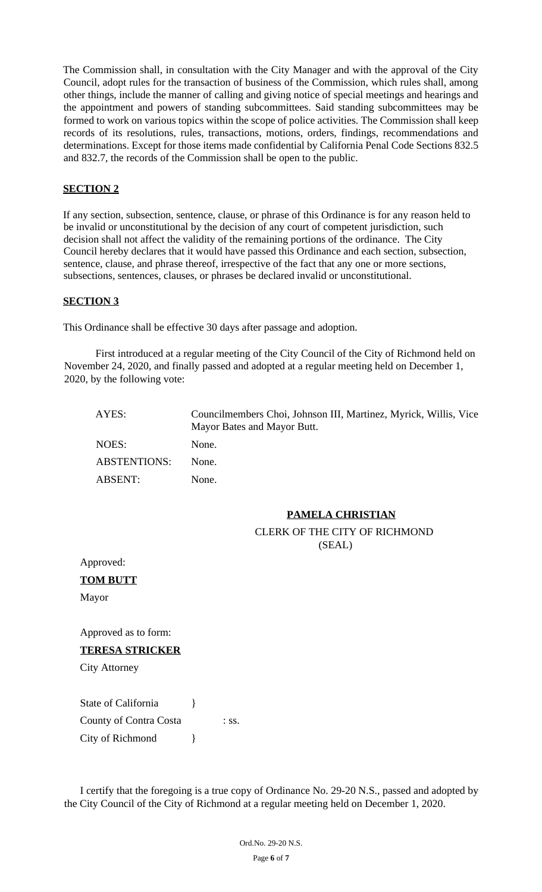#### **SECTION 2**

If any section, subsection, sentence, clause, or phrase of this Ordinance is for any reason held to be invalid or unconstitutional by the decision of any court of competent jurisdiction, such decision shall not affect the validity of the remaining portions of the ordinance. The City Council hereby declares that it would have passed this Ordinance and each section, subsection, sentence, clause, and phrase thereof, irrespective of the fact that any one or more sections, subsections, sentences, clauses, or phrases be declared invalid or unconstitutional.

#### **SECTION 3**

This Ordinance shall be effective 30 days after passage and adoption.

First introduced at a regular meeting of the City Council of the City of Richmond held on November 24, 2020, and finally passed and adopted at a regular meeting held on December 1, 2020, by the following vote:

| AYES:               | Councilmembers Choi, Johnson III, Martinez, Myrick, Willis, Vice<br>Mayor Bates and Mayor Butt. |
|---------------------|-------------------------------------------------------------------------------------------------|
| NOES:               | None.                                                                                           |
| <b>ABSTENTIONS:</b> | None.                                                                                           |
| ABSENT:             | None.                                                                                           |

# **PAMELA CHRISTIAN**

#### CLERK OF THE CITY OF RICHMOND (SEAL)

Approved:

## **TOM BUTT**

Mayor

Approved as to form:

# **TERESA STRICKER**

City Attorney

State of California  $\{$ County of Contra Costa : ss. City of Richmond  $\}$ 

I certify that the foregoing is a true copy of Ordinance No. 29-20 N.S., passed and adopted by the City Council of the City of Richmond at a regular meeting held on December 1, 2020.